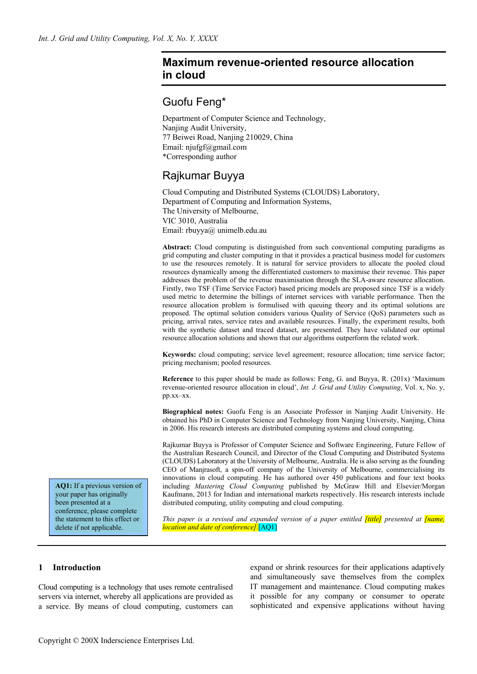# **Maximum revenue-oriented resource allocation in cloud**

# Guofu Feng\*

Department of Computer Science and Technology, Nanjing Audit University, 77 Beiwei Road, Nanjing 210029, China Email: njufgf@gmail.com \*Corresponding author

# Rajkumar Buyya

Cloud Computing and Distributed Systems (CLOUDS) Laboratory, Department of Computing and Information Systems, The University of Melbourne, VIC 3010, Australia Email: rbuyya@ unimelb.edu.au

**Abstract:** Cloud computing is distinguished from such conventional computing paradigms as grid computing and cluster computing in that it provides a practical business model for customers to use the resources remotely. It is natural for service providers to allocate the pooled cloud resources dynamically among the differentiated customers to maximise their revenue. This paper addresses the problem of the revenue maximisation through the SLA-aware resource allocation. Firstly, two TSF (Time Service Factor) based pricing models are proposed since TSF is a widely used metric to determine the billings of internet services with variable performance. Then the resource allocation problem is formulised with queuing theory and its optimal solutions are proposed. The optimal solution considers various Quality of Service (QoS) parameters such as pricing, arrival rates, service rates and available resources. Finally, the experiment results, both with the synthetic dataset and traced dataset, are presented. They have validated our optimal resource allocation solutions and shown that our algorithms outperform the related work.

**Keywords:** cloud computing; service level agreement; resource allocation; time service factor; pricing mechanism; pooled resources.

**Reference** to this paper should be made as follows: Feng, G. and Buyya, R. (201x) 'Maximum revenue-oriented resource allocation in cloud', *Int. J. Grid and Utility Computing*, Vol. x, No. y, pp.xx–xx.

**Biographical notes:** Guofu Feng is an Associate Professor in Nanjing Audit University. He obtained his PhD in Computer Science and Technology from Nanjing University, Nanjing, China in 2006. His research interests are distributed computing systems and cloud computing.

Rajkumar Buyya is Professor of Computer Science and Software Engineering, Future Fellow of the Australian Research Council, and Director of the Cloud Computing and Distributed Systems (CLOUDS) Laboratory at the University of Melbourne, Australia. He is also serving as the founding CEO of Manjrasoft, a spin-off company of the University of Melbourne, commercialising its innovations in cloud computing. He has authored over 450 publications and four text books including *Mastering Cloud Computing* published by McGraw Hill and Elsevier/Morgan Kaufmann, 2013 for Indian and international markets respectively. His research interests include distributed computing, utility computing and cloud computing.

*This paper is a revised and expanded version of a paper entitled <i>[title]* presented at *[name, location and date of conference].*[AQ1]

**1 Introduction** 

**AQ1:** If a previous version of your paper has originally been presented at a conference, please complete the statement to this effect or delete if not applicable.

Cloud computing is a technology that uses remote centralised servers via internet, whereby all applications are provided as a service. By means of cloud computing, customers can expand or shrink resources for their applications adaptively and simultaneously save themselves from the complex IT management and maintenance. Cloud computing makes it possible for any company or consumer to operate sophisticated and expensive applications without having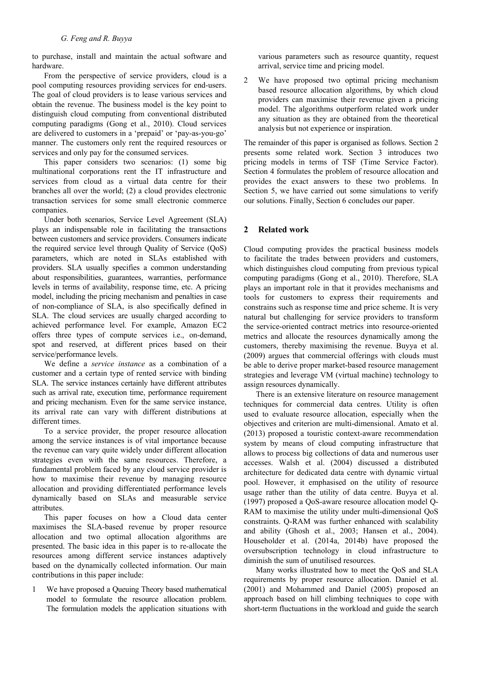to purchase, install and maintain the actual software and hardware.

From the perspective of service providers, cloud is a pool computing resources providing services for end-users. The goal of cloud providers is to lease various services and obtain the revenue. The business model is the key point to distinguish cloud computing from conventional distributed computing paradigms (Gong et al., 2010). Cloud services are delivered to customers in a 'prepaid' or 'pay-as-you-go' manner. The customers only rent the required resources or services and only pay for the consumed services.

This paper considers two scenarios: (1) some big multinational corporations rent the IT infrastructure and services from cloud as a virtual data centre for their branches all over the world; (2) a cloud provides electronic transaction services for some small electronic commerce companies.

Under both scenarios, Service Level Agreement (SLA) plays an indispensable role in facilitating the transactions between customers and service providers. Consumers indicate the required service level through Quality of Service (QoS) parameters, which are noted in SLAs established with providers. SLA usually specifies a common understanding about responsibilities, guarantees, warranties, performance levels in terms of availability, response time, etc. A pricing model, including the pricing mechanism and penalties in case of non-compliance of SLA, is also specifically defined in SLA. The cloud services are usually charged according to achieved performance level. For example, Amazon EC2 offers three types of compute services i.e., on-demand, spot and reserved, at different prices based on their service/performance levels.

We define a *service instance* as a combination of a customer and a certain type of rented service with binding SLA. The service instances certainly have different attributes such as arrival rate, execution time, performance requirement and pricing mechanism. Even for the same service instance, its arrival rate can vary with different distributions at different times.

To a service provider, the proper resource allocation among the service instances is of vital importance because the revenue can vary quite widely under different allocation strategies even with the same resources. Therefore, a fundamental problem faced by any cloud service provider is how to maximise their revenue by managing resource allocation and providing differentiated performance levels dynamically based on SLAs and measurable service attributes.

This paper focuses on how a Cloud data center maximises the SLA-based revenue by proper resource allocation and two optimal allocation algorithms are presented. The basic idea in this paper is to re-allocate the resources among different service instances adaptively based on the dynamically collected information. Our main contributions in this paper include:

1 We have proposed a Queuing Theory based mathematical model to formulate the resource allocation problem. The formulation models the application situations with

various parameters such as resource quantity, request arrival, service time and pricing model.

2 We have proposed two optimal pricing mechanism based resource allocation algorithms, by which cloud providers can maximise their revenue given a pricing model. The algorithms outperform related work under any situation as they are obtained from the theoretical analysis but not experience or inspiration.

The remainder of this paper is organised as follows. Section 2 presents some related work. Section 3 introduces two pricing models in terms of TSF (Time Service Factor). Section 4 formulates the problem of resource allocation and provides the exact answers to these two problems. In Section 5, we have carried out some simulations to verify our solutions. Finally, Section 6 concludes our paper.

## **2 Related work**

Cloud computing provides the practical business models to facilitate the trades between providers and customers, which distinguishes cloud computing from previous typical computing paradigms (Gong et al., 2010). Therefore, SLA plays an important role in that it provides mechanisms and tools for customers to express their requirements and constrains such as response time and price scheme. It is very natural but challenging for service providers to transform the service-oriented contract metrics into resource-oriented metrics and allocate the resources dynamically among the customers, thereby maximising the revenue. Buyya et al. (2009) argues that commercial offerings with clouds must be able to derive proper market-based resource management strategies and leverage VM (virtual machine) technology to assign resources dynamically.

There is an extensive literature on resource management techniques for commercial data centres. Utility is often used to evaluate resource allocation, especially when the objectives and criterion are multi-dimensional. Amato et al. (2013) proposed a touristic context-aware recommendation system by means of cloud computing infrastructure that allows to process big collections of data and numerous user accesses. Walsh et al. (2004) discussed a distributed architecture for dedicated data centre with dynamic virtual pool. However, it emphasised on the utility of resource usage rather than the utility of data centre. Buyya et al. (1997) proposed a QoS-aware resource allocation model Q-RAM to maximise the utility under multi-dimensional QoS constraints. Q-RAM was further enhanced with scalability and ability (Ghosh et al., 2003; Hansen et al., 2004). Householder et al. (2014a, 2014b) have proposed the oversubscription technology in cloud infrastructure to diminish the sum of unutilised resources.

Many works illustrated how to meet the QoS and SLA requirements by proper resource allocation. Daniel et al. (2001) and Mohammed and Daniel (2005) proposed an approach based on hill climbing techniques to cope with short-term fluctuations in the workload and guide the search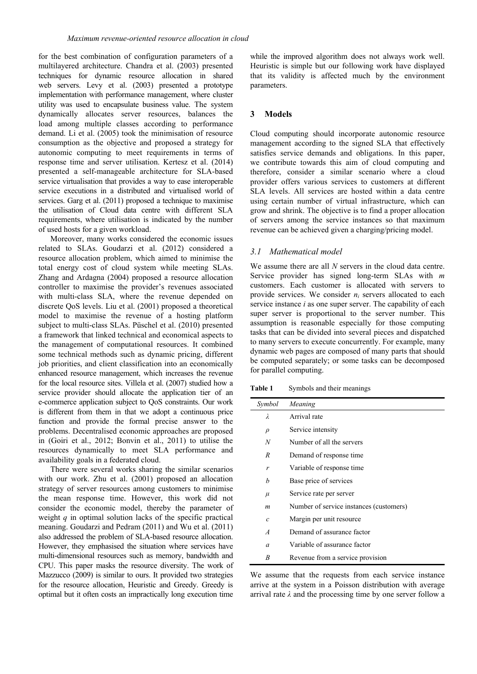for the best combination of configuration parameters of a multilayered architecture. Chandra et al. (2003) presented techniques for dynamic resource allocation in shared web servers. Levy et al. (2003) presented a prototype implementation with performance management, where cluster utility was used to encapsulate business value. The system dynamically allocates server resources, balances the load among multiple classes according to performance demand. Li et al. (2005) took the minimisation of resource consumption as the objective and proposed a strategy for autonomic computing to meet requirements in terms of response time and server utilisation. Kertesz et al. (2014) presented a self-manageable architecture for SLA-based service virtualisation that provides a way to ease interoperable service executions in a distributed and virtualised world of services. Garg et al. (2011) proposed a technique to maximise the utilisation of Cloud data centre with different SLA requirements, where utilisation is indicated by the number of used hosts for a given workload.

Moreover, many works considered the economic issues related to SLAs. Goudarzi et al. (2012) considered a resource allocation problem, which aimed to minimise the total energy cost of cloud system while meeting SLAs. Zhang and Ardagna (2004) proposed a resource allocation controller to maximise the provider's revenues associated with multi-class SLA, where the revenue depended on discrete QoS levels. Liu et al. (2001) proposed a theoretical model to maximise the revenue of a hosting platform subject to multi-class SLAs. Püschel et al. (2010) presented a framework that linked technical and economical aspects to the management of computational resources. It combined some technical methods such as dynamic pricing, different job priorities, and client classification into an economically enhanced resource management, which increases the revenue for the local resource sites. Villela et al. (2007) studied how a service provider should allocate the application tier of an e-commerce application subject to QoS constraints. Our work is different from them in that we adopt a continuous price function and provide the formal precise answer to the problems. Decentralised economic approaches are proposed in (Goiri et al., 2012; Bonvin et al., 2011) to utilise the resources dynamically to meet SLA performance and availability goals in a federated cloud.

There were several works sharing the similar scenarios with our work. Zhu et al. (2001) proposed an allocation strategy of server resources among customers to minimise the mean response time. However, this work did not consider the economic model, thereby the parameter of weight *q* in optimal solution lacks of the specific practical meaning. Goudarzi and Pedram (2011) and Wu et al. (2011) also addressed the problem of SLA-based resource allocation. However, they emphasised the situation where services have multi-dimensional resources such as memory, bandwidth and CPU. This paper masks the resource diversity. The work of Mazzucco (2009) is similar to ours. It provided two strategies for the resource allocation, Heuristic and Greedy. Greedy is optimal but it often costs an impractically long execution time

while the improved algorithm does not always work well. Heuristic is simple but our following work have displayed that its validity is affected much by the environment parameters.

### **3 Models**

Cloud computing should incorporate autonomic resource management according to the signed SLA that effectively satisfies service demands and obligations. In this paper, we contribute towards this aim of cloud computing and therefore, consider a similar scenario where a cloud provider offers various services to customers at different SLA levels. All services are hosted within a data centre using certain number of virtual infrastructure, which can grow and shrink. The objective is to find a proper allocation of servers among the service instances so that maximum revenue can be achieved given a charging/pricing model.

## *3.1 Mathematical model*

We assume there are all *N* servers in the cloud data centre. Service provider has signed long-term SLAs with *m* customers. Each customer is allocated with servers to provide services. We consider *ni* servers allocated to each service instance *i* as one super server. The capability of each super server is proportional to the server number. This assumption is reasonable especially for those computing tasks that can be divided into several pieces and dispatched to many servers to execute concurrently. For example, many dynamic web pages are composed of many parts that should be computed separately; or some tasks can be decomposed for parallel computing.

Table 1 Symbols and their meanings

| Symbol           | Meaning                                 |
|------------------|-----------------------------------------|
| λ                | Arrival rate                            |
| $\rho$           | Service intensity                       |
| N                | Number of all the servers               |
| R                | Demand of response time                 |
| r                | Variable of response time.              |
| b                | Base price of services                  |
| $\mu$            | Service rate per server                 |
| $\boldsymbol{m}$ | Number of service instances (customers) |
| $\mathcal{C}$    | Margin per unit resource.               |
| $\overline{A}$   | Demand of assurance factor              |
| $\mathfrak a$    | Variable of assurance factor            |
| B                | Revenue from a service provision        |

We assume that the requests from each service instance arrive at the system in a Poisson distribution with average arrival rate  $\lambda$  and the processing time by one server follow a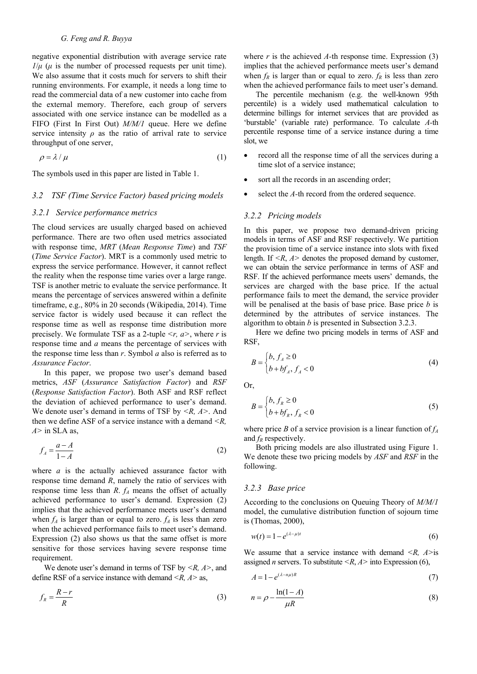### *G. Feng and R. Buyya*

negative exponential distribution with average service rate  $1/\mu$  ( $\mu$  is the number of processed requests per unit time). We also assume that it costs much for servers to shift their running environments. For example, it needs a long time to read the commercial data of a new customer into cache from the external memory. Therefore, each group of servers associated with one service instance can be modelled as a FIFO (First In First Out) *M/M/1* queue. Here we define service intensity  $\rho$  as the ratio of arrival rate to service throughput of one server,

$$
\rho = \lambda / \mu \tag{1}
$$

The symbols used in this paper are listed in Table 1.

#### *3.2 TSF (Time Service Factor) based pricing models*

## *3.2.1 Service performance metrics*

The cloud services are usually charged based on achieved performance. There are two often used metrics associated with response time, *MRT* (*Mean Response Time*) and *TSF* (*Time Service Factor*). MRT is a commonly used metric to express the service performance. However, it cannot reflect the reality when the response time varies over a large range. TSF is another metric to evaluate the service performance. It means the percentage of services answered within a definite timeframe, e.g., 80% in 20 seconds (Wikipedia, 2014). Time service factor is widely used because it can reflect the response time as well as response time distribution more precisely. We formulate TSF as a 2-tuple *<r, a>*, where *r* is response time and *a* means the percentage of services with the response time less than *r*. Symbol *a* also is referred as to *Assurance Factor*.

In this paper, we propose two user's demand based metrics, *ASF* (*Assurance Satisfaction Factor*) and *RSF* (*Response Satisfaction Factor*). Both ASF and RSF reflect the deviation of achieved performance to user's demand. We denote user's demand in terms of TSF by *<R, A>*. And then we define ASF of a service instance with a demand *<R, A>* in SLA as,

$$
f_A = \frac{a - A}{1 - A} \tag{2}
$$

where *a* is the actually achieved assurance factor with response time demand *R*, namely the ratio of services with response time less than  $R$ .  $f_A$  means the offset of actually achieved performance to user's demand. Expression (2) implies that the achieved performance meets user's demand when  $f_A$  is larger than or equal to zero.  $f_A$  is less than zero when the achieved performance fails to meet user's demand. Expression (2) also shows us that the same offset is more sensitive for those services having severe response time requirement.

We denote user's demand in terms of TSF by *<R, A>*, and define RSF of a service instance with demand *<R, A>* as,

$$
f_R = \frac{R - r}{R} \tag{3}
$$

where *r* is the achieved *A-*th response time. Expression (3) implies that the achieved performance meets user's demand when  $f_R$  is larger than or equal to zero.  $f_R$  is less than zero when the achieved performance fails to meet user's demand.

The percentile mechanism (e.g. the well-known 95th percentile) is a widely used mathematical calculation to determine billings for internet services that are provided as 'burstable' (variable rate) performance. To calculate *A-*th percentile response time of a service instance during a time slot, we

- record all the response time of all the services during a time slot of a service instance;
- sort all the records in an ascending order;
- select the *A-*th record from the ordered sequence.

## *3.2.2 Pricing models*

In this paper, we propose two demand-driven pricing models in terms of ASF and RSF respectively. We partition the provision time of a service instance into slots with fixed length. If *<R*, *A>* denotes the proposed demand by customer, we can obtain the service performance in terms of ASF and RSF. If the achieved performance meets users' demands, the services are charged with the base price. If the actual performance fails to meet the demand, the service provider will be penalised at the basis of base price. Base price *b* is determined by the attributes of service instances. The algorithm to obtain *b* is presented in Subsection 3.2.3.

Here we define two pricing models in terms of ASF and RSF,

$$
B = \begin{cases} b, f_A \ge 0 \\ b + bf_A, f_A < 0 \end{cases}
$$
 (4)

Or,

$$
B = \begin{cases} b, f_R \ge 0 \\ b + bf_R, f_R < 0 \end{cases}
$$
 (5)

where price *B* of a service provision is a linear function of  $f_A$ and  $f_R$  respectively.

Both pricing models are also illustrated using Figure 1. We denote these two pricing models by *ASF* and *RSF* in the following.

## *3.2.3 Base price*

According to the conclusions on Queuing Theory of *M/M/1* model, the cumulative distribution function of sojourn time is (Thomas, 2000),

$$
w(t) = 1 - e^{(\lambda - \mu)t} \tag{6}
$$

We assume that a service instance with demand *<R, A>*is assigned *n* servers. To substitute *<R*, *A>* into Expression (6),

$$
A = 1 - e^{(\lambda - n\mu)R} \tag{7}
$$

$$
n = \rho - \frac{\ln(1 - A)}{\mu R} \tag{8}
$$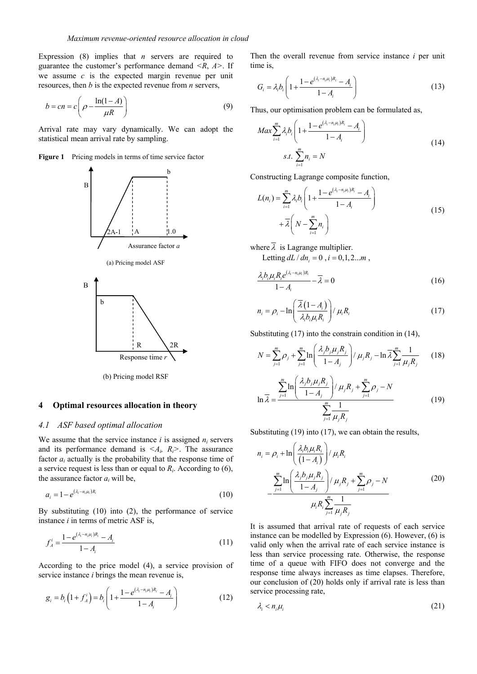Expression (8) implies that *n* servers are required to guarantee the customer's performance demand *<R*, *A>*. If we assume *c* is the expected margin revenue per unit resources, then *b* is the expected revenue from *n* servers,

$$
b = cn = c \left( \rho - \frac{\ln(1 - A)}{\mu R} \right) \tag{9}
$$

Arrival rate may vary dynamically. We can adopt the statistical mean arrival rate by sampling.

#### Figure 1 Pricing models in terms of time service factor



(b) Pricing model RSF

## **4 Optimal resources allocation in theory**

## *4.1 ASF based optimal allocation*

We assume that the service instance  $i$  is assigned  $n_i$  servers and its performance demand is  $\langle A_i, R_i \rangle$ . The assurance factor  $a_i$  actually is the probability that the response time of a service request is less than or equal to  $R_i$ . According to (6), the assurance factor *ai* will be,

$$
a_i = 1 - e^{(\lambda_i - n_i \mu_i) R_i}
$$
 (10)

By substituting (10) into (2), the performance of service instance *i* in terms of metric ASF is,

$$
f_A^i = \frac{1 - e^{(\lambda_i - n_i \mu_i)R_i} - A_i}{1 - A_i} \tag{11}
$$

According to the price model (4), a service provision of service instance *i* brings the mean revenue is,

$$
g_i = b_i \left( 1 + f_A^i \right) = b_i \left( 1 + \frac{1 - e^{(\lambda_i - n_i \mu_i) R_i} - A_i}{1 - A_i} \right)
$$
(12)

Then the overall revenue from service instance *i* per unit time is,

$$
G_i = \lambda_i b_i \left( 1 + \frac{1 - e^{(\lambda_i - n_i \mu_i) R_i} - A_i}{1 - A_i} \right)
$$
 (13)

Thus, our optimisation problem can be formulated as,

$$
Max \sum_{i=1}^{m} \lambda_i b_i \left( 1 + \frac{1 - e^{(\lambda_i - n_i \mu_i) R_i} - A_i}{1 - A_i} \right)
$$
  
s.t. 
$$
\sum_{i=1}^{m} n_i = N
$$
 (14)

Constructing Lagrange composite function,

$$
L(n_i) = \sum_{i=1}^{m} \lambda_i b_i \left( 1 + \frac{1 - e^{(\lambda_i - n_i \mu_i)R_i} - A_i}{1 - A_i} \right) + \overline{\lambda} \left( N - \sum_{i=1}^{m} n_i \right)
$$
(15)

where  $\overline{\lambda}$  is Lagrange multiplier. Letting  $dL / dn_i = 0$ ,  $i = 0, 1, 2...m$ ,

$$
\frac{\lambda_i b_i \mu_i R_i e^{(\lambda_i - n_i \mu_i) R_i}}{1 - A_i} - \overline{\lambda} = 0
$$
\n(16)

$$
n_i = \rho_i - \ln\left(\frac{\overline{\lambda}(1 - A_i)}{\lambda_i b_i \mu_i R_i}\right) / \mu_i R_i
$$
 (17)

Substituting (17) into the constrain condition in (14),

$$
N = \sum_{j=1}^{m} \rho_j + \sum_{j=1}^{m} \ln \left( \frac{\lambda_j b_j \mu_j R_j}{1 - A_j} \right) / \mu_j R_j - \ln \overline{\lambda} \sum_{j=1}^{m} \frac{1}{\mu_j R_j}
$$
(18)

$$
\ln \overline{\lambda} = \frac{\sum_{j=1}^{m} \ln \left( \frac{\lambda_{j} b_{j} \mu_{j} R_{j}}{1 - A_{j}} \right) / \mu_{j} R_{j} + \sum_{j=1}^{m} \rho_{j} - N}{\sum_{j=1}^{m} \frac{1}{\mu_{j} R_{j}}}
$$
(19)

Substituting (19) into (17), we can obtain the results,

$$
n_i = \rho_i + \ln\left(\frac{\lambda_i b_i \mu_i R_i}{(1 - A_i)}\right) / \mu_i R_i
$$

$$
-\frac{\sum_{j=1}^m \ln\left(\frac{\lambda_j b_j \mu_j R_j}{1 - A_j}\right) / \mu_j R_j + \sum_{j=1}^m \rho_j - N}{\mu_i R_i \sum_{j=1}^m \frac{1}{\mu_j R_j}}
$$
(20)

It is assumed that arrival rate of requests of each service instance can be modelled by Expression (6). However, (6) is valid only when the arrival rate of each service instance is less than service processing rate. Otherwise, the response time of a queue with FIFO does not converge and the response time always increases as time elapses. Therefore, our conclusion of (20) holds only if arrival rate is less than service processing rate,

$$
\lambda_i < n_i \mu_i \tag{21}
$$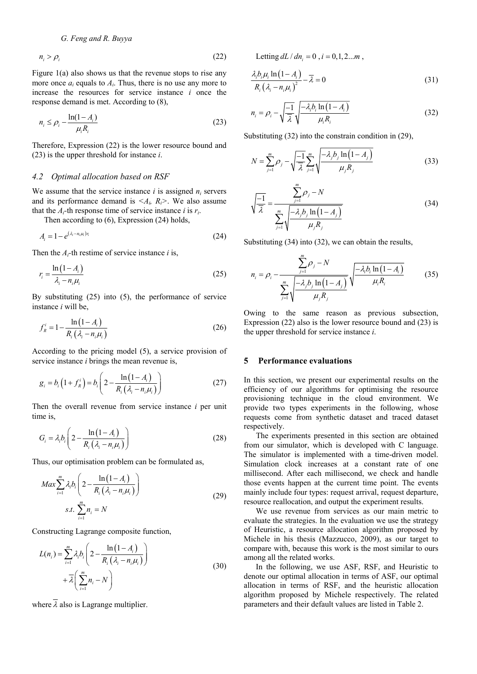## *G. Feng and R. Buyya*

$$
n_i > \rho_i \tag{22}
$$

Figure  $1(a)$  also shows us that the revenue stops to rise any more once  $a_i$  equals to  $A_i$ . Thus, there is no use any more to increase the resources for service instance *i* once the response demand is met. According to (8),

$$
n_i \le \rho_i - \frac{\ln(1 - A_i)}{\mu_i R_i} \tag{23}
$$

Therefore, Expression (22) is the lower resource bound and (23) is the upper threshold for instance *i*.

#### *4.2 Optimal allocation based on RSF*

We assume that the service instance  $i$  is assigned  $n_i$  servers and its performance demand is  $\langle A_i, R_i \rangle$ . We also assume that the  $A_i$ -th response time of service instance *i* is  $r_i$ .

Then according to (6), Expression (24) holds,

$$
A_i = 1 - e^{(\lambda_i - n_i \mu_i)r_i}
$$
\n(24)

Then the *Ai-*th restime of service instance *i* is,

 $\mathcal{L}_{\mathcal{L}}$ 

$$
r_i = \frac{\ln\left(1 - A_i\right)}{\lambda_i - n_i \mu_i} \tag{25}
$$

By substituting (25) into (5), the performance of service instance *i* will be,

$$
f'_R = 1 - \frac{\ln\left(1 - A_i\right)}{R_i \left(\lambda_i - n_i \mu_i\right)}\tag{26}
$$

According to the pricing model (5), a service provision of service instance *i* brings the mean revenue is,

$$
g_{i} = b_{i} \left( 1 + f_{R}^{i} \right) = b_{i} \left( 2 - \frac{\ln(1 - A_{i})}{R_{i} \left( \lambda_{i} - n_{i} \mu_{i} \right)} \right)
$$
(27)

Then the overall revenue from service instance *i* per unit time is,

$$
G_i = \lambda_i b_i \left( 2 - \frac{\ln(1 - A_i)}{R_i \left( \lambda_i - n_i \mu_i \right)} \right)
$$
 (28)

Thus, our optimisation problem can be formulated as,

$$
Max \sum_{i=1}^{m} \lambda_i b_i \left( 2 - \frac{\ln(1 - A_i)}{R_i \left( \lambda_i - n_i \mu_i \right)} \right)
$$
  
s.t. 
$$
\sum_{i=1}^{m} n_i = N
$$
 (29)

Constructing Lagrange composite function,

$$
L(n_i) = \sum_{i=1}^{m} \lambda_i b_i \left( 2 - \frac{\ln(1 - A_i)}{R_i (\lambda_i - n_i \mu_i)} \right)
$$
  
+ 
$$
\overline{\lambda} \left( \sum_{i=1}^{m} n_i - N \right)
$$
 (30)

where  $\overline{\lambda}$  also is Lagrange multiplier.

Letting  $dL / dn_i = 0$ ,  $i = 0, 1, 2...m$ ,

$$
\frac{\lambda_i b_i \mu_i \ln(1 - A_i)}{R_i (\lambda_i - n_i \mu_i)^2} - \overline{\lambda} = 0
$$
\n(31)

$$
n_i = \rho_i - \sqrt{\frac{-1}{\bar{\lambda}}} \sqrt{\frac{-\lambda_i b_i \ln(1 - A_i)}{\mu_i R_i}}
$$
(32)

Substituting (32) into the constrain condition in (29),

$$
N = \sum_{j=1}^{m} \rho_j - \sqrt{\frac{-1}{\lambda}} \sum_{j=1}^{m} \sqrt{\frac{-\lambda_j b_j \ln(1 - A_j)}{\mu_j R_j}}
$$
(33)

$$
\sqrt{\frac{-1}{\lambda}} = \frac{\sum_{j=1}^{n} \rho_j - N}{\sum_{j=1}^{m} \sqrt{\frac{-\lambda_j b_j \ln(1 - A_j)}{\mu_j R_j}}}
$$
(34)

Substituting (34) into (32), we can obtain the results,

$$
n_{i} = \rho_{i} - \frac{\sum_{j=1}^{m} \rho_{j} - N}{\sum_{j=1}^{m} \sqrt{\frac{-\lambda_{j} b_{j} \ln(1 - A_{j})}{\mu_{j} R_{j}}}} \sqrt{\frac{-\lambda_{i} b_{i} \ln(1 - A_{i})}{\mu_{i} R_{i}}} \qquad (35)
$$

Owing to the same reason as previous subsection, Expression (22) also is the lower resource bound and (23) is the upper threshold for service instance *i*.

#### **5 Performance evaluations**

*m*

In this section, we present our experimental results on the efficiency of our algorithms for optimising the resource provisioning technique in the cloud environment. We provide two types experiments in the following, whose requests come from synthetic dataset and traced dataset respectively.

The experiments presented in this section are obtained from our simulator, which is developed with C language. The simulator is implemented with a time-driven model. Simulation clock increases at a constant rate of one millisecond. After each millisecond, we check and handle those events happen at the current time point. The events mainly include four types: request arrival, request departure, resource reallocation, and output the experiment results.

We use revenue from services as our main metric to evaluate the strategies. In the evaluation we use the strategy of Heuristic, a resource allocation algorithm proposed by Michele in his thesis (Mazzucco, 2009), as our target to compare with, because this work is the most similar to ours among all the related works.

In the following, we use ASF, RSF, and Heuristic to denote our optimal allocation in terms of ASF, our optimal allocation in terms of RSF, and the heuristic allocation algorithm proposed by Michele respectively. The related parameters and their default values are listed in Table 2.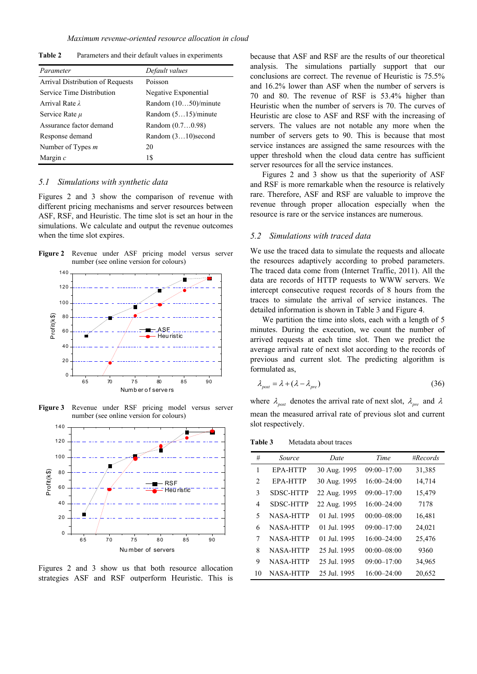| Parameter                        | Default values         |
|----------------------------------|------------------------|
| Arrival Distribution of Requests | Poisson                |
| Service Time Distribution        | Negative Exponential   |
| Arrival Rate $\lambda$           | Random (1050)/minute   |
| Service Rate $\mu$               | Random $(515)$ /minute |
| Assurance factor demand          | Random (0.70.98)       |
| Response demand                  | Random $(310)$ second  |
| Number of Types $m$              | 20                     |
| Margin $c$                       | 1\$                    |

**Table 2** Parameters and their default values in experiments

## *5.1 Simulations with synthetic data*

Figures 2 and 3 show the comparison of revenue with different pricing mechanisms and server resources between ASF, RSF, and Heuristic. The time slot is set an hour in the simulations. We calculate and output the revenue outcomes when the time slot expires.





**Figure 3** Revenue under RSF pricing model versus server number (see online version for colours)



Figures 2 and 3 show us that both resource allocation strategies ASF and RSF outperform Heuristic. This is

because that ASF and RSF are the results of our theoretical analysis. The simulations partially support that our conclusions are correct. The revenue of Heuristic is 75.5% and 16.2% lower than ASF when the number of servers is 70 and 80. The revenue of RSF is 53.4% higher than Heuristic when the number of servers is 70. The curves of Heuristic are close to ASF and RSF with the increasing of servers. The values are not notable any more when the number of servers gets to 90. This is because that most service instances are assigned the same resources with the upper threshold when the cloud data centre has sufficient server resources for all the service instances.

Figures 2 and 3 show us that the superiority of ASF and RSF is more remarkable when the resource is relatively rare. Therefore, ASF and RSF are valuable to improve the revenue through proper allocation especially when the resource is rare or the service instances are numerous.

## *5.2 Simulations with traced data*

We use the traced data to simulate the requests and allocate the resources adaptively according to probed parameters. The traced data come from (Internet Traffic, 2011). All the data are records of HTTP requests to WWW servers. We intercept consecutive request records of 8 hours from the traces to simulate the arrival of service instances. The detailed information is shown in Table 3 and Figure 4.

We partition the time into slots, each with a length of 5 minutes. During the execution, we count the number of arrived requests at each time slot. Then we predict the average arrival rate of next slot according to the records of previous and current slot. The predicting algorithm is formulated as,

$$
\lambda_{post} = \lambda + (\lambda - \lambda_{pre})
$$
\n(36)

where  $\lambda_{post}$  denotes the arrival rate of next slot,  $\lambda_{pre}$  and  $\lambda$ mean the measured arrival rate of previous slot and current slot respectively.

**Table 3** Metadata about traces

| #              | Source           | Date          | Time            | $\# Records$ |
|----------------|------------------|---------------|-----------------|--------------|
| 1              | <b>EPA-HTTP</b>  | 30 Aug. 1995  | $09:00 - 17:00$ | 31,385       |
| $\mathfrak{D}$ | <b>EPA-HTTP</b>  | 30 Aug. 1995  | $16:00 - 24:00$ | 14,714       |
| 3              | <b>SDSC-HTTP</b> | 22 Aug. 1995  | $09:00 - 17:00$ | 15,479       |
| 4              | <b>SDSC-HTTP</b> | 22 Aug. 1995  | $16:00 - 24:00$ | 7178         |
| 5              | <b>NASA-HTTP</b> | 01 Jul. 1995  | $00:00 - 08:00$ | 16,481       |
| 6              | <b>NASA-HTTP</b> | $01$ Jul 1995 | $09:00 - 17:00$ | 24,021       |
| 7              | <b>NASA-HTTP</b> | 01 Jul. 1995  | $16:00 - 24:00$ | 25,476       |
| 8              | <b>NASA-HTTP</b> | 25 Jul. 1995  | $00:00-08:00$   | 9360         |
| 9              | <b>NASA-HTTP</b> | 25 Jul. 1995  | $09:00 - 17:00$ | 34,965       |
| 10             | <b>NASA-HTTP</b> | 25 Jul. 1995  | $16:00 - 24:00$ | 20,652       |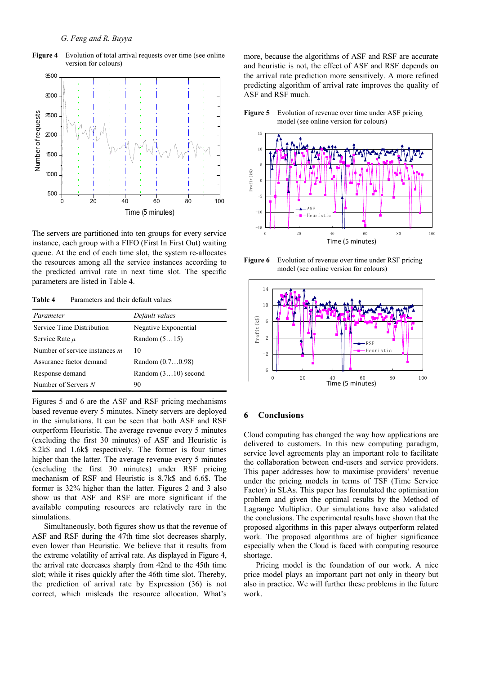

Figure 4 Evolution of total arrival requests over time (see online version for colours)

The servers are partitioned into ten groups for every service instance, each group with a FIFO (First In First Out) waiting queue. At the end of each time slot, the system re-allocates the resources among all the service instances according to the predicted arrival rate in next time slot. The specific parameters are listed in Table 4.

**Table 4** Parameters and their default values

| Parameter                       | Default values        |
|---------------------------------|-----------------------|
| Service Time Distribution       | Negative Exponential  |
| Service Rate $\mu$              | Random $(515)$        |
| Number of service instances $m$ | 10                    |
| Assurance factor demand         | Random $(0.70.98)$    |
| Response demand                 | Random $(310)$ second |
| Number of Servers N             | 90                    |

Figures 5 and 6 are the ASF and RSF pricing mechanisms based revenue every 5 minutes. Ninety servers are deployed in the simulations. It can be seen that both ASF and RSF outperform Heuristic. The average revenue every 5 minutes (excluding the first 30 minutes) of ASF and Heuristic is 8.2k\$ and 1.6k\$ respectively. The former is four times higher than the latter. The average revenue every 5 minutes (excluding the first 30 minutes) under RSF pricing mechanism of RSF and Heuristic is 8.7k\$ and 6.6\$. The former is 32% higher than the latter. Figures 2 and 3 also show us that ASF and RSF are more significant if the available computing resources are relatively rare in the simulations.

Simultaneously, both figures show us that the revenue of ASF and RSF during the 47th time slot decreases sharply, even lower than Heuristic. We believe that it results from the extreme volatility of arrival rate. As displayed in Figure 4, the arrival rate decreases sharply from 42nd to the 45th time slot; while it rises quickly after the 46th time slot. Thereby, the prediction of arrival rate by Expression (36) is not correct, which misleads the resource allocation. What's

more, because the algorithms of ASF and RSF are accurate and heuristic is not, the effect of ASF and RSF depends on the arrival rate prediction more sensitively. A more refined predicting algorithm of arrival rate improves the quality of ASF and RSF much.

**Figure 5** Evolution of revenue over time under ASF pricing model (see online version for colours)



**Figure 6** Evolution of revenue over time under RSF pricing model (see online version for colours)



## **6 Conclusions**

Cloud computing has changed the way how applications are delivered to customers. In this new computing paradigm, service level agreements play an important role to facilitate the collaboration between end-users and service providers. This paper addresses how to maximise providers' revenue under the pricing models in terms of TSF (Time Service Factor) in SLAs. This paper has formulated the optimisation problem and given the optimal results by the Method of Lagrange Multiplier. Our simulations have also validated the conclusions. The experimental results have shown that the proposed algorithms in this paper always outperform related work. The proposed algorithms are of higher significance especially when the Cloud is faced with computing resource shortage.

Pricing model is the foundation of our work. A nice price model plays an important part not only in theory but also in practice. We will further these problems in the future work.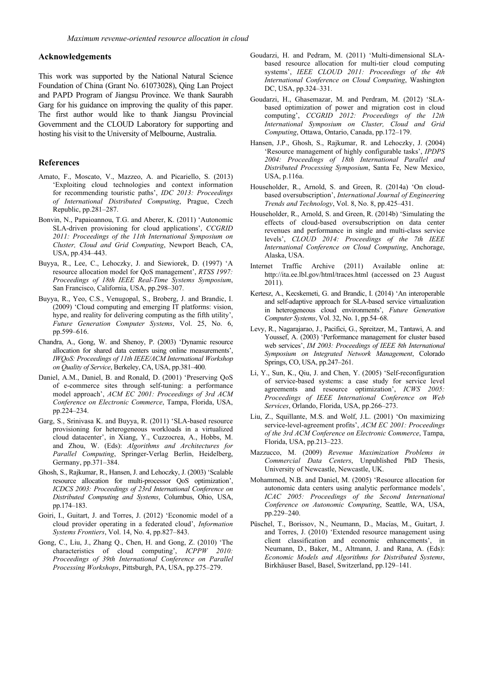## **Acknowledgements**

This work was supported by the National Natural Science Foundation of China (Grant No. 61073028), Qing Lan Project and PAPD Program of Jiangsu Province. We thank Saurabh Garg for his guidance on improving the quality of this paper. The first author would like to thank Jiangsu Provincial Government and the CLOUD Laboratory for supporting and hosting his visit to the University of Melbourne, Australia.

## **References**

- Amato, F., Moscato, V., Mazzeo, A. and Picariello, S. (2013) 'Exploiting cloud technologies and context information for recommending touristic paths', *IDC 2013: Proceedings of International Distributed Computing*, Prague, Czech Republic, pp.281–287.
- Bonvin, N., Papaioannou, T.G. and Aberer, K. (2011) 'Autonomic SLA-driven provisioning for cloud applications', *CCGRID 2011: Proceedings of the 11th International Symposium on Cluster, Cloud and Grid Computing*, Newport Beach, CA, USA, pp.434–443.
- Buyya, R., Lee, C., Lehoczky, J. and Siewiorek, D. (1997) 'A resource allocation model for QoS management', *RTSS 1997: Proceedings of 18th IEEE Real-Time Systems Symposium*, San Francisco, California, USA, pp.298–307.
- Buyya, R., Yeo, C.S., Venugopal, S., Broberg, J. and Brandic, I. (2009) 'Cloud computing and emerging IT platforms: vision, hype, and reality for delivering computing as the fifth utility', *Future Generation Computer Systems*, Vol. 25, No. 6, pp.599–616.
- Chandra, A., Gong, W. and Shenoy, P. (2003) 'Dynamic resource allocation for shared data centers using online measurements', *IWQoS: Proceedings of 11th IEEE/ACM International Workshop on Quality of Service*, Berkeley, CA, USA, pp.381–400.
- Daniel, A.M., Daniel, B. and Ronald, D. (2001) 'Preserving QoS of e-commerce sites through self-tuning: a performance model approach', *ACM EC 2001: Proceedings of 3rd ACM Conference on Electronic Commerce*, Tampa, Florida, USA, pp.224–234.
- Garg, S., Srinivasa K. and Buyya, R. (2011) 'SLA-based resource provisioning for heterogeneous workloads in a virtualized cloud datacenter', in Xiang, Y., Cuzzocrea, A., Hobbs, M. and Zhou, W. (Eds): *Algorithms and Architectures for Parallel Computing*, Springer-Verlag Berlin, Heidelberg, Germany, pp.371–384.
- Ghosh, S., Rajkumar, R., Hansen, J. and Lehoczky, J. (2003) 'Scalable resource allocation for multi-processor QoS optimization', *ICDCS 2003: Proceedings of 23rd International Conference on Distributed Computing and Systems*, Columbus, Ohio, USA, pp.174–183.
- Goiri, I., Guitart, J. and Torres, J. (2012) 'Economic model of a cloud provider operating in a federated cloud', *Information Systems Frontiers*, Vol. 14, No. 4, pp.827–843.
- Gong, C., Liu, J., Zhang Q., Chen, H. and Gong, Z. (2010) 'The characteristics of cloud computing', *ICPPW 2010: Proceedings of 39th International Conference on Parallel Processing Workshops*, Pittsburgh, PA, USA, pp.275–279.
- Goudarzi, H. and Pedram, M. (2011) 'Multi-dimensional SLAbased resource allocation for multi-tier cloud computing systems', *IEEE CLOUD 2011: Proceedings of the 4th International Conference on Cloud Computing*, Washington DC, USA, pp.324–331.
- Goudarzi, H., Ghasemazar, M. and Perdram, M. (2012) 'SLAbased optimization of power and migration cost in cloud computing', *CCGRID 2012: Proceedings of the 12th International Symposium on Cluster, Cloud and Grid Computing*, Ottawa, Ontario, Canada, pp.172–179.
- Hansen, J.P., Ghosh, S., Rajkumar, R. and Lehoczky, J. (2004) 'Resource management of highly configurable tasks', *IPDPS 2004: Proceedings of 18th International Parallel and Distributed Processing Symposium*, Santa Fe, New Mexico, USA, p.116a.
- Householder, R., Arnold, S. and Green, R. (2014a) 'On cloudbased oversubscription', *International Journal of Engineering Trends and Technology*, Vol. 8, No. 8, pp.425–431.
- Householder, R., Arnold, S. and Green, R. (2014b) 'Simulating the effects of cloud-based oversubscription on data center revenues and performance in single and multi-class service levels', *CLOUD 2014: Proceedings of the 7th IEEE International Conference on Cloud Computing*, Anchorage, Alaska, USA.
- Internet Traffic Archive (2011) Available online at: http://ita.ee.lbl.gov/html/traces.html (accessed on 23 August 2011).
- Kertesz, A., Kecskemeti, G. and Brandic, I. (2014) 'An interoperable and self-adaptive approach for SLA-based service virtualization in heterogeneous cloud environments', *Future Generation Computer Systems*, Vol. 32, No. 1, pp.54–68.
- Levy, R., Nagarajarao, J., Pacifici, G., Spreitzer, M., Tantawi, A. and Youssef, A. (2003) 'Performance management for cluster based web services', *IM 2003: Proceedings of IEEE 8th International Symposium on Integrated Network Management*, Colorado Springs, CO, USA, pp.247–261.
- Li, Y., Sun, K., Qiu, J. and Chen, Y. (2005) 'Self-reconfiguration of service-based systems: a case study for service level agreements and resource optimization', *ICWS 2005: Proceedings of IEEE International Conference on Web Services*, Orlando, Florida, USA, pp.266–273.
- Liu, Z., Squillante, M.S. and Wolf, J.L. (2001) 'On maximizing service-level-agreement profits', *ACM EC 2001: Proceedings of the 3rd ACM Conference on Electronic Commerce*, Tampa, Florida, USA, pp.213–223.
- Mazzucco, M. (2009) *Revenue Maximization Problems in Commercial Data Centers*, Unpublished PhD Thesis, University of Newcastle, Newcastle, UK.
- Mohammed, N.B. and Daniel, M. (2005) 'Resource allocation for autonomic data centers using analytic performance models', *ICAC 2005: Proceedings of the Second International Conference on Autonomic Computing*, Seattle, WA, USA, pp.229–240.
- Püschel, T., Borissov, N., Neumann, D., Macías, M., Guitart, J. and Torres, J. (2010) 'Extended resource management using client classification and economic enhancements', in Neumann, D., Baker, M., Altmann, J. and Rana, A. (Eds): *Economic Models and Algorithms for Distributed Systems*, Birkhäuser Basel, Basel, Switzerland, pp.129–141.